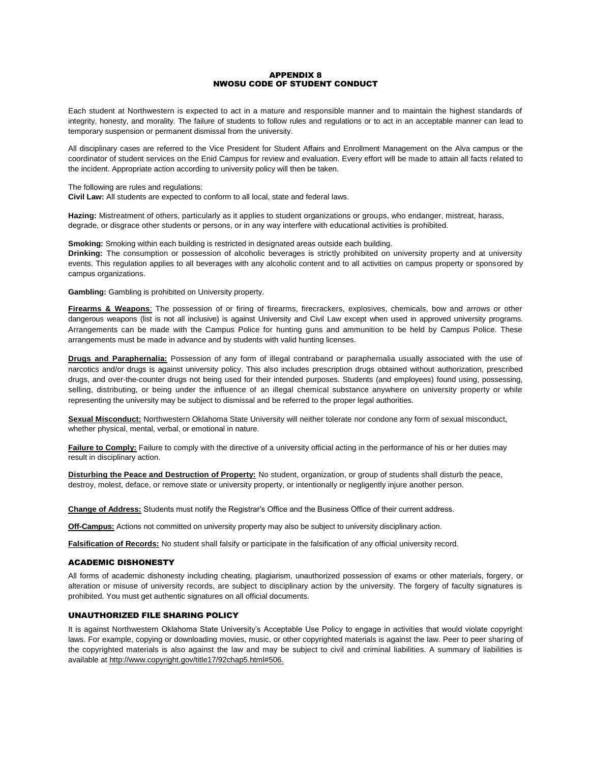### APPENDIX 8 NWOSU CODE OF STUDENT CONDUCT

Each student at Northwestern is expected to act in a mature and responsible manner and to maintain the highest standards of integrity, honesty, and morality. The failure of students to follow rules and regulations or to act in an acceptable manner can lead to temporary suspension or permanent dismissal from the university.

All disciplinary cases are referred to the Vice President for Student Affairs and Enrollment Management on the Alva campus or the coordinator of student services on the Enid Campus for review and evaluation. Every effort will be made to attain all facts related to the incident. Appropriate action according to university policy will then be taken.

#### The following are rules and regulations:

**Civil Law:** All students are expected to conform to all local, state and federal laws.

**Hazing:** Mistreatment of others, particularly as it applies to student organizations or groups, who endanger, mistreat, harass, degrade, or disgrace other students or persons, or in any way interfere with educational activities is prohibited.

**Smoking:** Smoking within each building is restricted in designated areas outside each building. **Drinking:** The consumption or possession of alcoholic beverages is strictly prohibited on university property and at university events. This regulation applies to all beverages with any alcoholic content and to all activities on campus property or sponsored by campus organizations.

**Gambling:** Gambling is prohibited on University property.

**Firearms & Weapons**: The possession of or firing of firearms, firecrackers, explosives, chemicals, bow and arrows or other dangerous weapons (list is not all inclusive) is against University and Civil Law except when used in approved university programs. Arrangements can be made with the Campus Police for hunting guns and ammunition to be held by Campus Police. These arrangements must be made in advance and by students with valid hunting licenses.

**Drugs and Paraphernalia:** Possession of any form of illegal contraband or paraphernalia usually associated with the use of narcotics and/or drugs is against university policy. This also includes prescription drugs obtained without authorization, prescribed drugs, and over-the-counter drugs not being used for their intended purposes. Students (and employees) found using, possessing, selling, distributing, or being under the influence of an illegal chemical substance anywhere on university property or while representing the university may be subject to dismissal and be referred to the proper legal authorities.

**Sexual Misconduct:** Northwestern Oklahoma State University will neither tolerate nor condone any form of sexual misconduct, whether physical, mental, verbal, or emotional in nature.

**Failure to Comply:** Failure to comply with the directive of a university official acting in the performance of his or her duties may result in disciplinary action.

**Disturbing the Peace and Destruction of Property:** No student, organization, or group of students shall disturb the peace, destroy, molest, deface, or remove state or university property, or intentionally or negligently injure another person.

**Change of Address:** Students must notify the Registrar's Office and the Business Office of their current address.

**Off-Campus:** Actions not committed on university property may also be subject to university disciplinary action.

**Falsification of Records:** No student shall falsify or participate in the falsification of any official university record.

### ACADEMIC DISHONESTY

All forms of academic dishonesty including cheating, plagiarism, unauthorized possession of exams or other materials, forgery, or alteration or misuse of university records, are subject to disciplinary action by the university. The forgery of faculty signatures is prohibited. You must get authentic signatures on all official documents.

## UNAUTHORIZED FILE SHARING POLICY

It is against Northwestern Oklahoma State University's Acceptable Use Policy to engage in activities that would violate copyright laws. For example, copying or downloading movies, music, or other copyrighted materials is against the law. Peer to peer sharing of the copyrighted materials is also against the law and may be subject to civil and criminal liabilities. A summary of liabilities is available at http://www.copyright.gov/title17/92chap5.html#506.